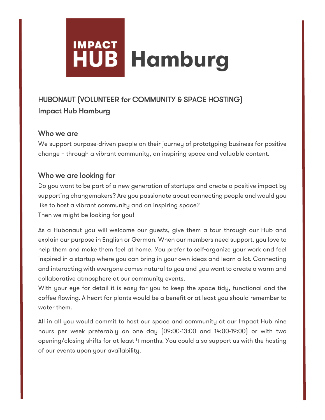# **IMPACT JB Hamburg**

## HUBONAUT (VOLUNTEER for COMMUNITY & SPACE HOSTING) Impact Hub Hamburg

#### Who we are

We support purpose-driven people on their journey of prototyping business for positive change – through a vibrant community, an inspiring space and valuable content.

#### Who we are looking for

Do you want to be part of a new generation of startups and create a positive impact by supporting changemakers? Are you passionate about connecting people and would you like to host a vibrant community and an inspiring space? Then we might be looking for you!

As a Hubonaut you will welcome our guests, give them a tour through our Hub and explain our purpose in English or German. When our members need support, you love to help them and make them feel at home. You prefer to self-organize your work and feel inspired in a startup where you can bring in your own ideas and learn a lot. Connecting and interacting with everyone comes natural to you and you want to create a warm and collaborative atmosphere at our community events.

With your eye for detail it is easy for you to keep the space tidy, functional and the coffee flowing. A heart for plants would be a benefit or at least you should remember to water them.

All in all you would commit to host our space and community at our Impact Hub nine hours per week preferably on one day (09:00-13:00 and 14:00-19:00) or with two opening/closing shifts for at least 4 months. You could also support us with the hosting of our events upon your availability.